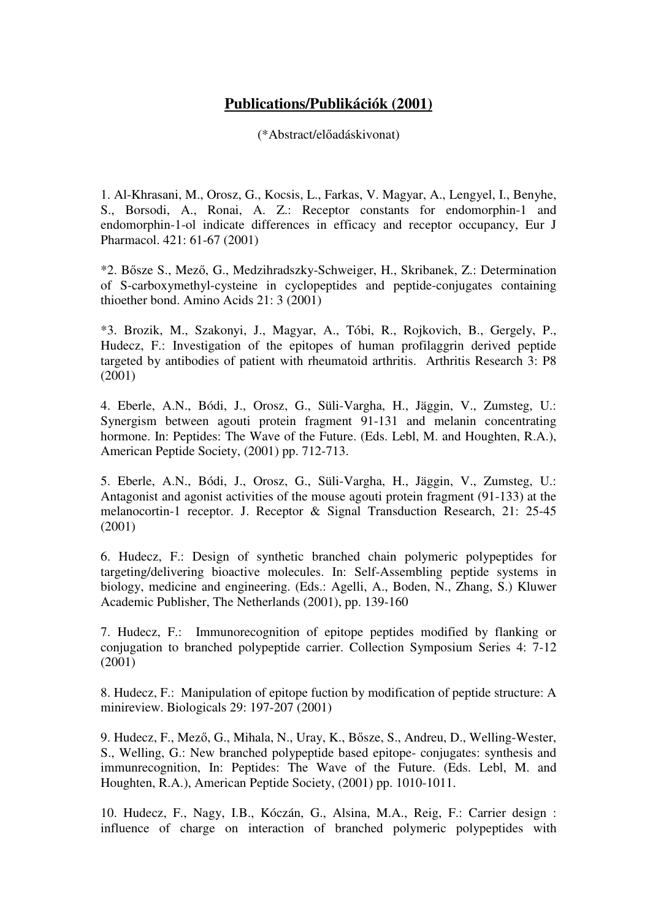## **Publications/Publikációk (2001)**

(\*Abstract/előadáskivonat)

1. Al-Khrasani, M., Orosz, G., Kocsis, L., Farkas, V. Magyar, A., Lengyel, I., Benyhe, S., Borsodi, A., Ronai, A. Z.: Receptor constants for endomorphin-1 and endomorphin-1-ol indicate differences in efficacy and receptor occupancy, Eur J Pharmacol. 421: 61-67 (2001)

\*2. Bősze S., Mező, G., Medzihradszky-Schweiger, H., Skribanek, Z.: Determination of S-carboxymethyl-cysteine in cyclopeptides and peptide-conjugates containing thioether bond. Amino Acids 21: 3 (2001)

\*3. Brozik, M., Szakonyi, J., Magyar, A., Tóbi, R., Rojkovich, B., Gergely, P., Hudecz, F.: Investigation of the epitopes of human profilaggrin derived peptide targeted by antibodies of patient with rheumatoid arthritis. Arthritis Research 3: P8 (2001)

4. Eberle, A.N., Bódi, J., Orosz, G., Süli-Vargha, H., Jäggin, V., Zumsteg, U.: Synergism between agouti protein fragment 91-131 and melanin concentrating hormone. In: Peptides: The Wave of the Future. (Eds. Lebl, M. and Houghten, R.A.), American Peptide Society, (2001) pp. 712-713.

5. Eberle, A.N., Bódi, J., Orosz, G., Süli-Vargha, H., Jäggin, V., Zumsteg, U.: Antagonist and agonist activities of the mouse agouti protein fragment (91-133) at the melanocortin-1 receptor. J. Receptor & Signal Transduction Research, 21: 25-45 (2001)

6. Hudecz, F.: Design of synthetic branched chain polymeric polypeptides for targeting/delivering bioactive molecules. In: Self-Assembling peptide systems in biology, medicine and engineering. (Eds.: Agelli, A., Boden, N., Zhang, S.) Kluwer Academic Publisher, The Netherlands (2001), pp. 139-160

7. Hudecz, F.: Immunorecognition of epitope peptides modified by flanking or conjugation to branched polypeptide carrier. Collection Symposium Series 4: 7-12 (2001)

8. Hudecz, F.: Manipulation of epitope fuction by modification of peptide structure: A minireview. Biologicals 29: 197-207 (2001)

9. Hudecz, F., Mező, G., Mihala, N., Uray, K., Bősze, S., Andreu, D., Welling-Wester, S., Welling, G.: New branched polypeptide based epitope- conjugates: synthesis and immunrecognition, In: Peptides: The Wave of the Future. (Eds. Lebl, M. and Houghten, R.A.), American Peptide Society, (2001) pp. 1010-1011.

10. Hudecz, F., Nagy, I.B., Kóczán, G., Alsina, M.A., Reig, F.: Carrier design : influence of charge on interaction of branched polymeric polypeptides with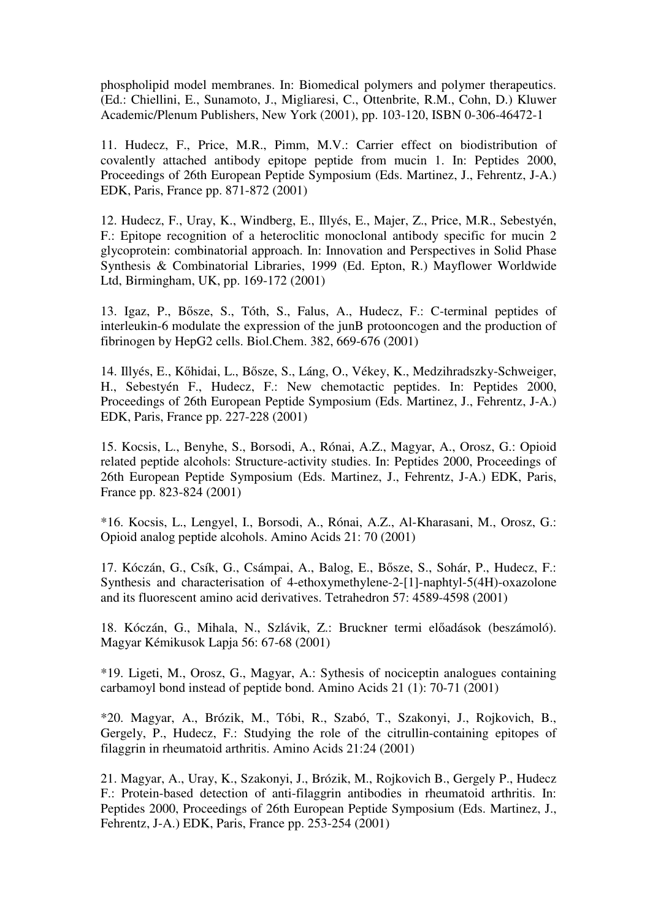phospholipid model membranes. In: Biomedical polymers and polymer therapeutics. (Ed.: Chiellini, E., Sunamoto, J., Migliaresi, C., Ottenbrite, R.M., Cohn, D.) Kluwer Academic/Plenum Publishers, New York (2001), pp. 103-120, ISBN 0-306-46472-1

11. Hudecz, F., Price, M.R., Pimm, M.V.: Carrier effect on biodistribution of covalently attached antibody epitope peptide from mucin 1. In: Peptides 2000, Proceedings of 26th European Peptide Symposium (Eds. Martinez, J., Fehrentz, J-A.) EDK, Paris, France pp. 871-872 (2001)

12. Hudecz, F., Uray, K., Windberg, E., Illyés, E., Majer, Z., Price, M.R., Sebestyén, F.: Epitope recognition of a heteroclitic monoclonal antibody specific for mucin 2 glycoprotein: combinatorial approach. In: Innovation and Perspectives in Solid Phase Synthesis & Combinatorial Libraries, 1999 (Ed. Epton, R.) Mayflower Worldwide Ltd, Birmingham, UK, pp. 169-172 (2001)

13. Igaz, P., Bősze, S., Tóth, S., Falus, A., Hudecz, F.: C-terminal peptides of interleukin-6 modulate the expression of the junB protooncogen and the production of fibrinogen by HepG2 cells. Biol.Chem. 382, 669-676 (2001)

14. Illyés, E., Kőhidai, L., Bősze, S., Láng, O., Vékey, K., Medzihradszky-Schweiger, H., Sebestyén F., Hudecz, F.: New chemotactic peptides. In: Peptides 2000, Proceedings of 26th European Peptide Symposium (Eds. Martinez, J., Fehrentz, J-A.) EDK, Paris, France pp. 227-228 (2001)

15. Kocsis, L., Benyhe, S., Borsodi, A., Rónai, A.Z., Magyar, A., Orosz, G.: Opioid related peptide alcohols: Structure-activity studies. In: Peptides 2000, Proceedings of 26th European Peptide Symposium (Eds. Martinez, J., Fehrentz, J-A.) EDK, Paris, France pp. 823-824 (2001)

\*16. Kocsis, L., Lengyel, I., Borsodi, A., Rónai, A.Z., Al-Kharasani, M., Orosz, G.: Opioid analog peptide alcohols. Amino Acids 21: 70 (2001)

17. Kóczán, G., Csík, G., Csámpai, A., Balog, E., Bősze, S., Sohár, P., Hudecz, F.: Synthesis and characterisation of 4-ethoxymethylene-2-[1]-naphtyl-5(4H)-oxazolone and its fluorescent amino acid derivatives. Tetrahedron 57: 4589-4598 (2001)

18. Kóczán, G., Mihala, N., Szlávik, Z.: Bruckner termi előadások (beszámoló). Magyar Kémikusok Lapja 56: 67-68 (2001)

\*19. Ligeti, M., Orosz, G., Magyar, A.: Sythesis of nociceptin analogues containing carbamoyl bond instead of peptide bond. Amino Acids 21 (1): 70-71 (2001)

\*20. Magyar, A., Brózik, M., Tóbi, R., Szabó, T., Szakonyi, J., Rojkovich, B., Gergely, P., Hudecz, F.: Studying the role of the citrullin-containing epitopes of filaggrin in rheumatoid arthritis. Amino Acids 21:24 (2001)

21. Magyar, A., Uray, K., Szakonyi, J., Brózik, M., Rojkovich B., Gergely P., Hudecz F.: Protein-based detection of anti-filaggrin antibodies in rheumatoid arthritis. In: Peptides 2000, Proceedings of 26th European Peptide Symposium (Eds. Martinez, J., Fehrentz, J-A.) EDK, Paris, France pp. 253-254 (2001)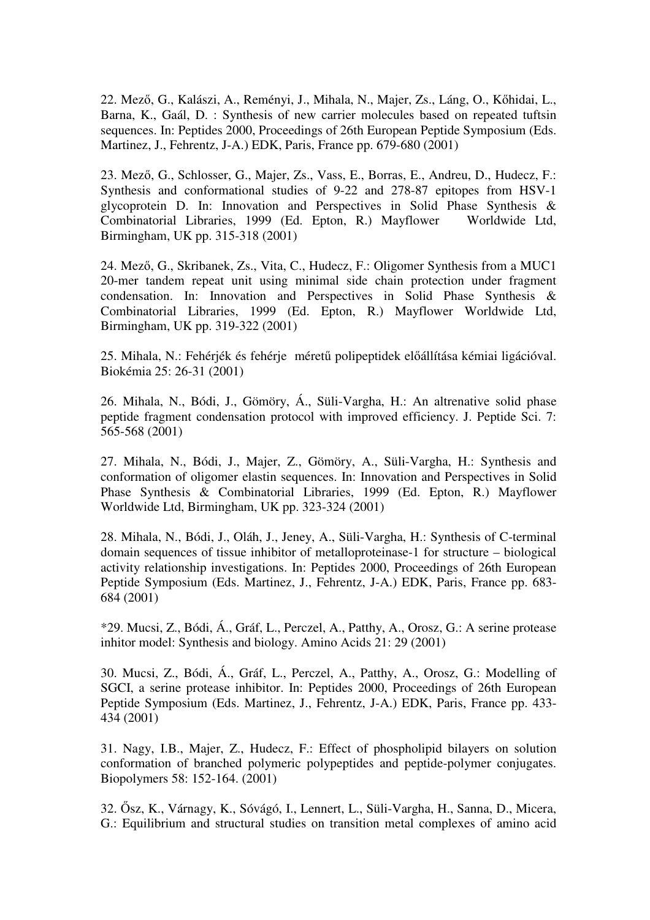22. Mező, G., Kalászi, A., Reményi, J., Mihala, N., Majer, Zs., Láng, O., Kőhidai, L., Barna, K., Gaál, D. : Synthesis of new carrier molecules based on repeated tuftsin sequences. In: Peptides 2000, Proceedings of 26th European Peptide Symposium (Eds. Martinez, J., Fehrentz, J-A.) EDK, Paris, France pp. 679-680 (2001)

23. Mező, G., Schlosser, G., Majer, Zs., Vass, E., Borras, E., Andreu, D., Hudecz, F.: Synthesis and conformational studies of 9-22 and 278-87 epitopes from HSV-1 glycoprotein D. In: Innovation and Perspectives in Solid Phase Synthesis & Combinatorial Libraries, 1999 (Ed. Epton, R.) Mayflower Worldwide Ltd, Birmingham, UK pp. 315-318 (2001)

24. Mező, G., Skribanek, Zs., Vita, C., Hudecz, F.: Oligomer Synthesis from a MUC1 20-mer tandem repeat unit using minimal side chain protection under fragment condensation. In: Innovation and Perspectives in Solid Phase Synthesis & Combinatorial Libraries, 1999 (Ed. Epton, R.) Mayflower Worldwide Ltd, Birmingham, UK pp. 319-322 (2001)

25. Mihala, N.: Fehérjék és fehérje méretű polipeptidek előállítása kémiai ligációval. Biokémia 25: 26-31 (2001)

26. Mihala, N., Bódi, J., Gömöry, Á., Süli-Vargha, H.: An altrenative solid phase peptide fragment condensation protocol with improved efficiency. J. Peptide Sci. 7: 565-568 (2001)

27. Mihala, N., Bódi, J., Majer, Z., Gömöry, A., Süli-Vargha, H.: Synthesis and conformation of oligomer elastin sequences. In: Innovation and Perspectives in Solid Phase Synthesis & Combinatorial Libraries, 1999 (Ed. Epton, R.) Mayflower Worldwide Ltd, Birmingham, UK pp. 323-324 (2001)

28. Mihala, N., Bódi, J., Oláh, J., Jeney, A., Süli-Vargha, H.: Synthesis of C-terminal domain sequences of tissue inhibitor of metalloproteinase-1 for structure – biological activity relationship investigations. In: Peptides 2000, Proceedings of 26th European Peptide Symposium (Eds. Martinez, J., Fehrentz, J-A.) EDK, Paris, France pp. 683- 684 (2001)

\*29. Mucsi, Z., Bódi, Á., Gráf, L., Perczel, A., Patthy, A., Orosz, G.: A serine protease inhitor model: Synthesis and biology. Amino Acids 21: 29 (2001)

30. Mucsi, Z., Bódi, Á., Gráf, L., Perczel, A., Patthy, A., Orosz, G.: Modelling of SGCI, a serine protease inhibitor. In: Peptides 2000, Proceedings of 26th European Peptide Symposium (Eds. Martinez, J., Fehrentz, J-A.) EDK, Paris, France pp. 433- 434 (2001)

31. Nagy, I.B., Majer, Z., Hudecz, F.: Effect of phospholipid bilayers on solution conformation of branched polymeric polypeptides and peptide-polymer conjugates. Biopolymers 58: 152-164. (2001)

32. Ősz, K., Várnagy, K., Sóvágó, I., Lennert, L., Süli-Vargha, H., Sanna, D., Micera, G.: Equilibrium and structural studies on transition metal complexes of amino acid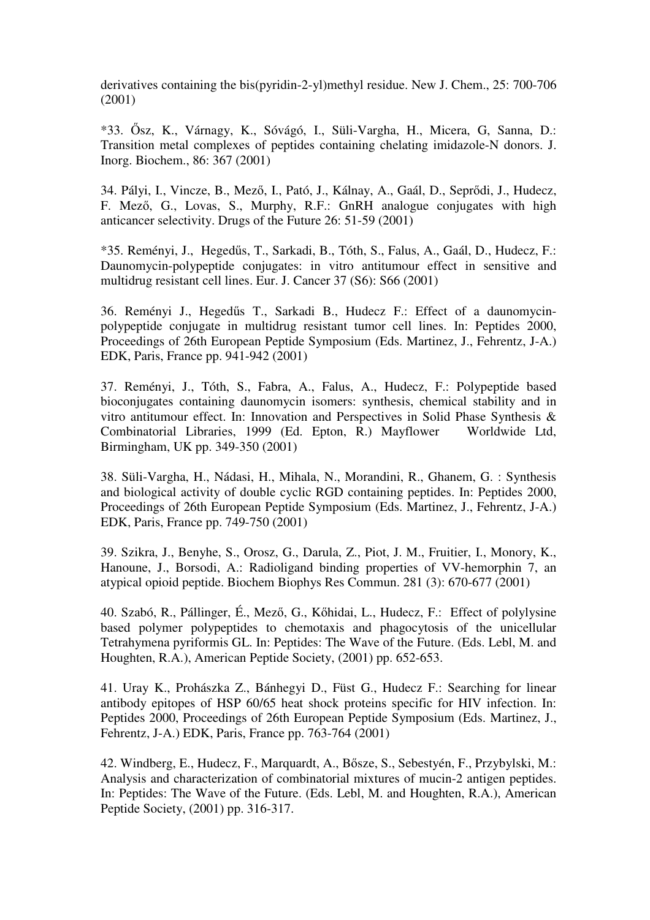derivatives containing the bis(pyridin-2-yl)methyl residue. New J. Chem., 25: 700-706 (2001)

\*33. Ősz, K., Várnagy, K., Sóvágó, I., Süli-Vargha, H., Micera, G, Sanna, D.: Transition metal complexes of peptides containing chelating imidazole-N donors. J. Inorg. Biochem., 86: 367 (2001)

34. Pályi, I., Vincze, B., Mező, I., Pató, J., Kálnay, A., Gaál, D., Seprődi, J., Hudecz, F. Mező, G., Lovas, S., Murphy, R.F.: GnRH analogue conjugates with high anticancer selectivity. Drugs of the Future 26: 51-59 (2001)

\*35. Reményi, J., Hegedűs, T., Sarkadi, B., Tóth, S., Falus, A., Gaál, D., Hudecz, F.: Daunomycin-polypeptide conjugates: in vitro antitumour effect in sensitive and multidrug resistant cell lines. Eur. J. Cancer 37 (S6): S66 (2001)

36. Reményi J., Hegedűs T., Sarkadi B., Hudecz F.: Effect of a daunomycinpolypeptide conjugate in multidrug resistant tumor cell lines. In: Peptides 2000, Proceedings of 26th European Peptide Symposium (Eds. Martinez, J., Fehrentz, J-A.) EDK, Paris, France pp. 941-942 (2001)

37. Reményi, J., Tóth, S., Fabra, A., Falus, A., Hudecz, F.: Polypeptide based bioconjugates containing daunomycin isomers: synthesis, chemical stability and in vitro antitumour effect. In: Innovation and Perspectives in Solid Phase Synthesis & Combinatorial Libraries, 1999 (Ed. Epton, R.) Mayflower Worldwide Ltd, Birmingham, UK pp. 349-350 (2001)

38. Süli-Vargha, H., Nádasi, H., Mihala, N., Morandini, R., Ghanem, G. : Synthesis and biological activity of double cyclic RGD containing peptides. In: Peptides 2000, Proceedings of 26th European Peptide Symposium (Eds. Martinez, J., Fehrentz, J-A.) EDK, Paris, France pp. 749-750 (2001)

39. Szikra, J., Benyhe, S., Orosz, G., Darula, Z., Piot, J. M., Fruitier, I., Monory, K., Hanoune, J., Borsodi, A.: Radioligand binding properties of VV-hemorphin 7, an atypical opioid peptide. Biochem Biophys Res Commun. 281 (3): 670-677 (2001)

40. Szabó, R., Pállinger, É., Mező, G., Kőhidai, L., Hudecz, F.: Effect of polylysine based polymer polypeptides to chemotaxis and phagocytosis of the unicellular Tetrahymena pyriformis GL. In: Peptides: The Wave of the Future. (Eds. Lebl, M. and Houghten, R.A.), American Peptide Society, (2001) pp. 652-653.

41. Uray K., Prohászka Z., Bánhegyi D., Füst G., Hudecz F.: Searching for linear antibody epitopes of HSP 60/65 heat shock proteins specific for HIV infection. In: Peptides 2000, Proceedings of 26th European Peptide Symposium (Eds. Martinez, J., Fehrentz, J-A.) EDK, Paris, France pp. 763-764 (2001)

42. Windberg, E., Hudecz, F., Marquardt, A., Bősze, S., Sebestyén, F., Przybylski, M.: Analysis and characterization of combinatorial mixtures of mucin-2 antigen peptides. In: Peptides: The Wave of the Future. (Eds. Lebl, M. and Houghten, R.A.), American Peptide Society, (2001) pp. 316-317.